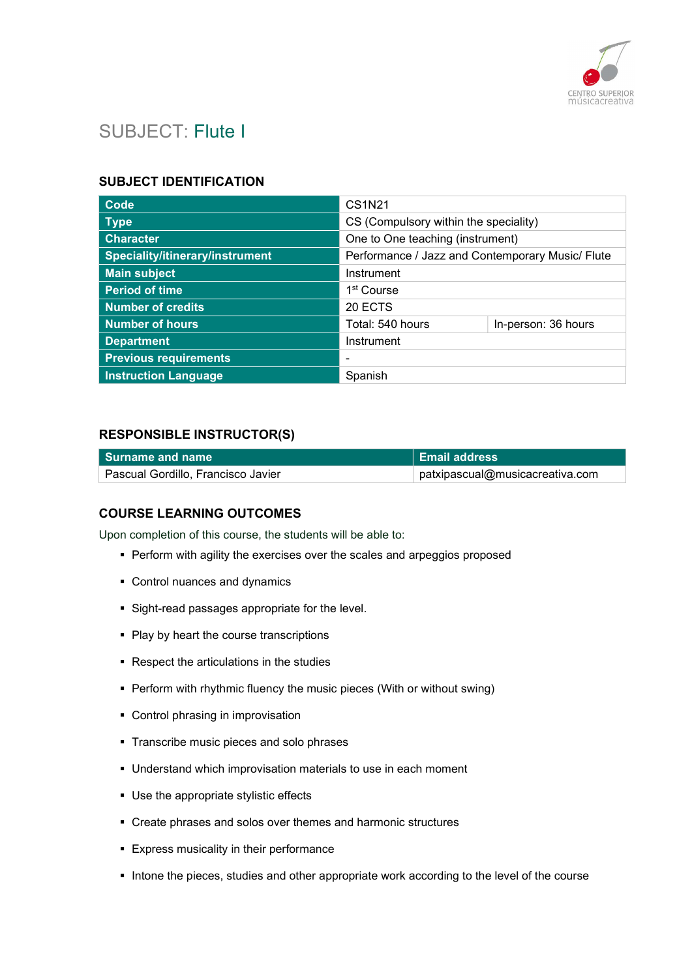

# SUBJECT: Flute I

### SUBJECT IDENTIFICATION

| Code                            | <b>CS1N21</b>                                    |                     |
|---------------------------------|--------------------------------------------------|---------------------|
| <b>Type</b>                     | CS (Compulsory within the speciality)            |                     |
| <b>Character</b>                | One to One teaching (instrument)                 |                     |
| Speciality/itinerary/instrument | Performance / Jazz and Contemporary Music/ Flute |                     |
| <b>Main subject</b>             | Instrument                                       |                     |
| <b>Period of time</b>           | 1 <sup>st</sup> Course                           |                     |
| <b>Number of credits</b>        | 20 ECTS                                          |                     |
| <b>Number of hours</b>          | Total: 540 hours                                 | In-person: 36 hours |
| <b>Department</b>               | Instrument                                       |                     |
| <b>Previous requirements</b>    |                                                  |                     |
| <b>Instruction Language</b>     | Spanish                                          |                     |

### RESPONSIBLE INSTRUCTOR(S)

| l Surname and name                 | <b>Email address</b>            |
|------------------------------------|---------------------------------|
| Pascual Gordillo, Francisco Javier | patxipascual@musicacreativa.com |

### COURSE LEARNING OUTCOMES

Upon completion of this course, the students will be able to:

- **Perform with agility the exercises over the scales and arpeggios proposed**
- Control nuances and dynamics
- Sight-read passages appropriate for the level.
- Play by heart the course transcriptions
- Respect the articulations in the studies
- **Perform with rhythmic fluency the music pieces (With or without swing)**
- Control phrasing in improvisation
- **Transcribe music pieces and solo phrases**
- Understand which improvisation materials to use in each moment
- Use the appropriate stylistic effects
- Create phrases and solos over themes and harmonic structures
- **Express musicality in their performance**
- Intone the pieces, studies and other appropriate work according to the level of the course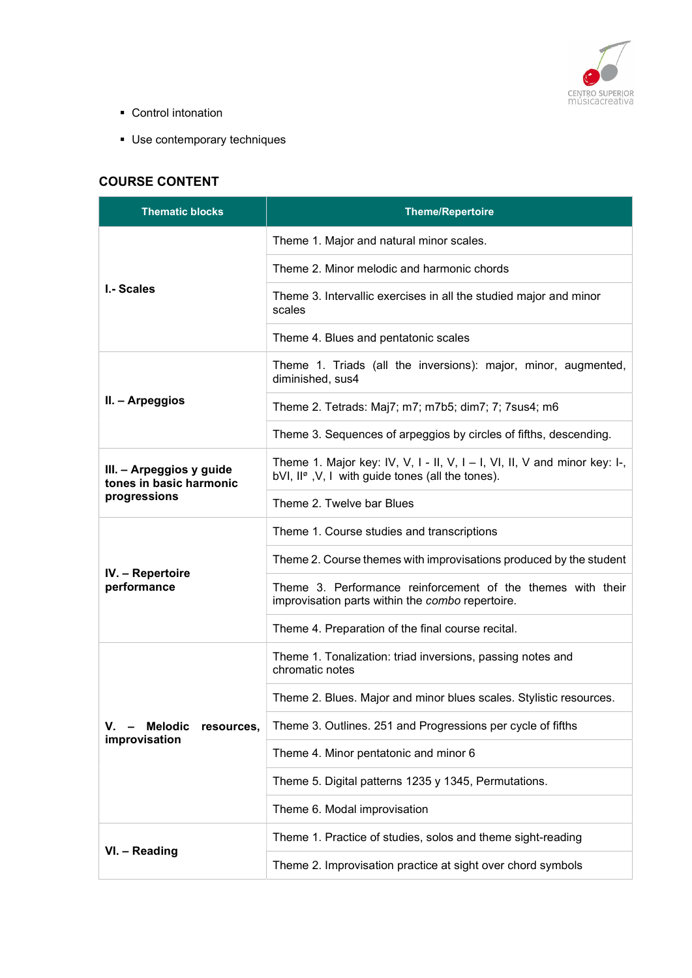

- Control intonation
- Use contemporary techniques

# COURSE CONTENT

| <b>Thematic blocks</b>                              | <b>Theme/Repertoire</b>                                                                                                                    |
|-----------------------------------------------------|--------------------------------------------------------------------------------------------------------------------------------------------|
|                                                     | Theme 1. Major and natural minor scales.                                                                                                   |
| I.- Scales                                          | Theme 2. Minor melodic and harmonic chords                                                                                                 |
|                                                     | Theme 3. Intervallic exercises in all the studied major and minor<br>scales                                                                |
|                                                     | Theme 4. Blues and pentatonic scales                                                                                                       |
|                                                     | Theme 1. Triads (all the inversions): major, minor, augmented,<br>diminished, sus4                                                         |
| II. - Arpeggios                                     | Theme 2. Tetrads: Maj7; m7; m7b5; dim7; 7; 7sus4; m6                                                                                       |
|                                                     | Theme 3. Sequences of arpeggios by circles of fifths, descending.                                                                          |
| III. - Arpeggios y guide<br>tones in basic harmonic | Theme 1. Major key: IV, V, I - II, V, I - I, VI, II, V and minor key: I-,<br>bVI, II <sup>ø</sup> , V, I with guide tones (all the tones). |
| progressions                                        | Theme 2. Twelve bar Blues                                                                                                                  |
|                                                     | Theme 1. Course studies and transcriptions                                                                                                 |
|                                                     | Theme 2. Course themes with improvisations produced by the student                                                                         |
| IV. - Repertoire<br>performance                     | Theme 3. Performance reinforcement of the themes with their<br>improvisation parts within the combo repertoire.                            |
|                                                     | Theme 4. Preparation of the final course recital.                                                                                          |
|                                                     | Theme 1. Tonalization: triad inversions, passing notes and<br>chromatic notes                                                              |
|                                                     | Theme 2. Blues. Major and minor blues scales. Stylistic resources.                                                                         |
| <b>Melodic</b><br>V.<br>resources,                  | Theme 3. Outlines. 251 and Progressions per cycle of fifths                                                                                |
| improvisation                                       | Theme 4. Minor pentatonic and minor 6                                                                                                      |
|                                                     | Theme 5. Digital patterns 1235 y 1345, Permutations.                                                                                       |
|                                                     | Theme 6. Modal improvisation                                                                                                               |
|                                                     | Theme 1. Practice of studies, solos and theme sight-reading                                                                                |
| VI. - Reading                                       | Theme 2. Improvisation practice at sight over chord symbols                                                                                |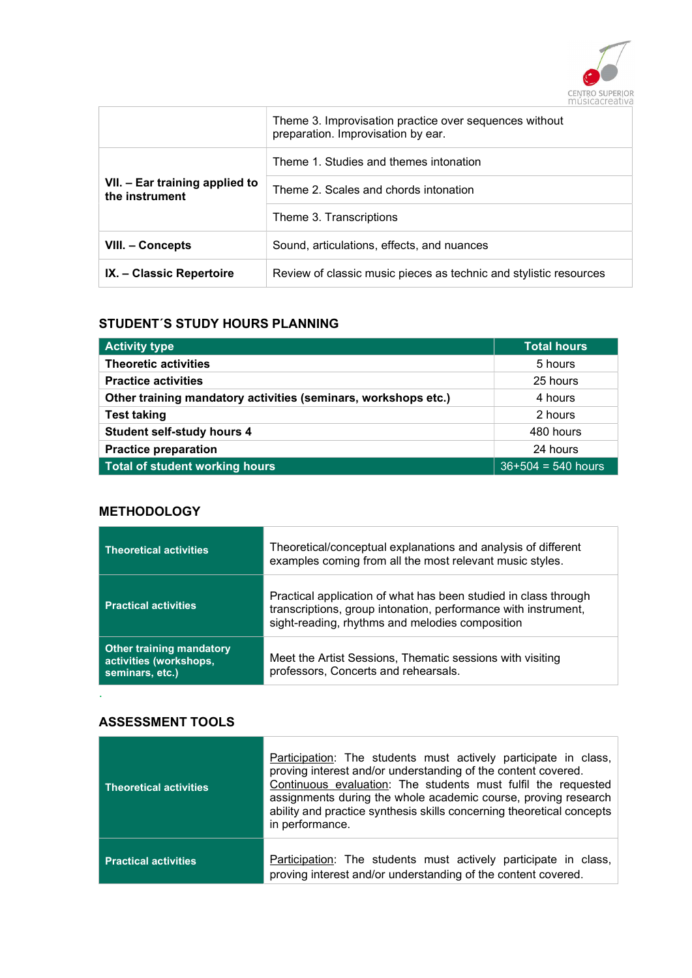

|                                                  | Theme 3. Improvisation practice over sequences without<br>preparation. Improvisation by ear. |
|--------------------------------------------------|----------------------------------------------------------------------------------------------|
|                                                  | Theme 1. Studies and themes intonation                                                       |
| VII. - Ear training applied to<br>the instrument | Theme 2. Scales and chords intonation                                                        |
|                                                  | Theme 3. Transcriptions                                                                      |
| VIII. - Concepts                                 | Sound, articulations, effects, and nuances                                                   |
| IX. – Classic Repertoire                         | Review of classic music pieces as technic and stylistic resources                            |

### STUDENT´S STUDY HOURS PLANNING

| <b>Activity type</b>                                           | <b>Total hours</b>   |
|----------------------------------------------------------------|----------------------|
| <b>Theoretic activities</b>                                    | 5 hours              |
| <b>Practice activities</b>                                     | 25 hours             |
| Other training mandatory activities (seminars, workshops etc.) | 4 hours              |
| <b>Test taking</b>                                             | 2 hours              |
| <b>Student self-study hours 4</b>                              | 480 hours            |
| <b>Practice preparation</b>                                    | 24 hours             |
| Total of student working hours                                 | $36+504 = 540$ hours |

### **METHODOLOGY**

| <b>Theoretical activities</b>                                                | Theoretical/conceptual explanations and analysis of different<br>examples coming from all the most relevant music styles.                                                            |
|------------------------------------------------------------------------------|--------------------------------------------------------------------------------------------------------------------------------------------------------------------------------------|
| <b>Practical activities</b>                                                  | Practical application of what has been studied in class through<br>transcriptions, group intonation, performance with instrument,<br>sight-reading, rhythms and melodies composition |
| <b>Other training mandatory</b><br>activities (workshops,<br>seminars, etc.) | Meet the Artist Sessions, Thematic sessions with visiting<br>professors, Concerts and rehearsals.                                                                                    |

### ASSESSMENT TOOLS

.

| <b>Theoretical activities</b> | Participation: The students must actively participate in class,<br>proving interest and/or understanding of the content covered.<br>Continuous evaluation: The students must fulfil the requested<br>assignments during the whole academic course, proving research<br>ability and practice synthesis skills concerning theoretical concepts<br>in performance. |
|-------------------------------|-----------------------------------------------------------------------------------------------------------------------------------------------------------------------------------------------------------------------------------------------------------------------------------------------------------------------------------------------------------------|
| <b>Practical activities</b>   | Participation: The students must actively participate in class,<br>proving interest and/or understanding of the content covered.                                                                                                                                                                                                                                |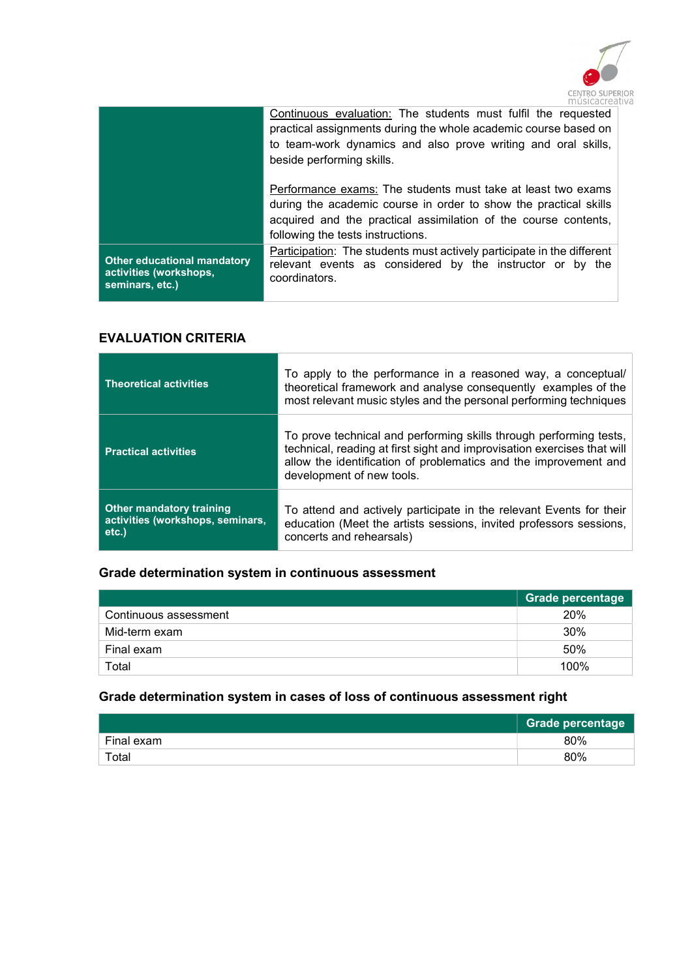

|                                                                                 | Continuous evaluation: The students must fulfil the requested<br>practical assignments during the whole academic course based on<br>to team-work dynamics and also prove writing and oral skills,<br>beside performing skills.           |
|---------------------------------------------------------------------------------|------------------------------------------------------------------------------------------------------------------------------------------------------------------------------------------------------------------------------------------|
|                                                                                 | Performance exams: The students must take at least two exams<br>during the academic course in order to show the practical skills<br>acquired and the practical assimilation of the course contents,<br>following the tests instructions. |
| <b>Other educational mandatory</b><br>activities (workshops,<br>seminars, etc.) | Participation: The students must actively participate in the different<br>relevant events as considered by the instructor or by the<br>coordinators.                                                                                     |

### EVALUATION CRITERIA

| <b>Theoretical activities</b>                                                   | To apply to the performance in a reasoned way, a conceptual/<br>theoretical framework and analyse consequently examples of the<br>most relevant music styles and the personal performing techniques                                            |
|---------------------------------------------------------------------------------|------------------------------------------------------------------------------------------------------------------------------------------------------------------------------------------------------------------------------------------------|
| <b>Practical activities</b>                                                     | To prove technical and performing skills through performing tests,<br>technical, reading at first sight and improvisation exercises that will<br>allow the identification of problematics and the improvement and<br>development of new tools. |
| <b>Other mandatory training</b><br>activities (workshops, seminars,<br>$etc.$ ) | To attend and actively participate in the relevant Events for their<br>education (Meet the artists sessions, invited professors sessions,<br>concerts and rehearsals)                                                                          |

## Grade determination system in continuous assessment

|                       | Grade percentage |
|-----------------------|------------------|
| Continuous assessment | 20%              |
| Mid-term exam         | 30%              |
| Final exam            | 50%              |
| Total                 | 100%             |

## Grade determination system in cases of loss of continuous assessment right

|            | <b>Grade percentage</b> |
|------------|-------------------------|
| Final exam | 80%                     |
| Total      | 80%                     |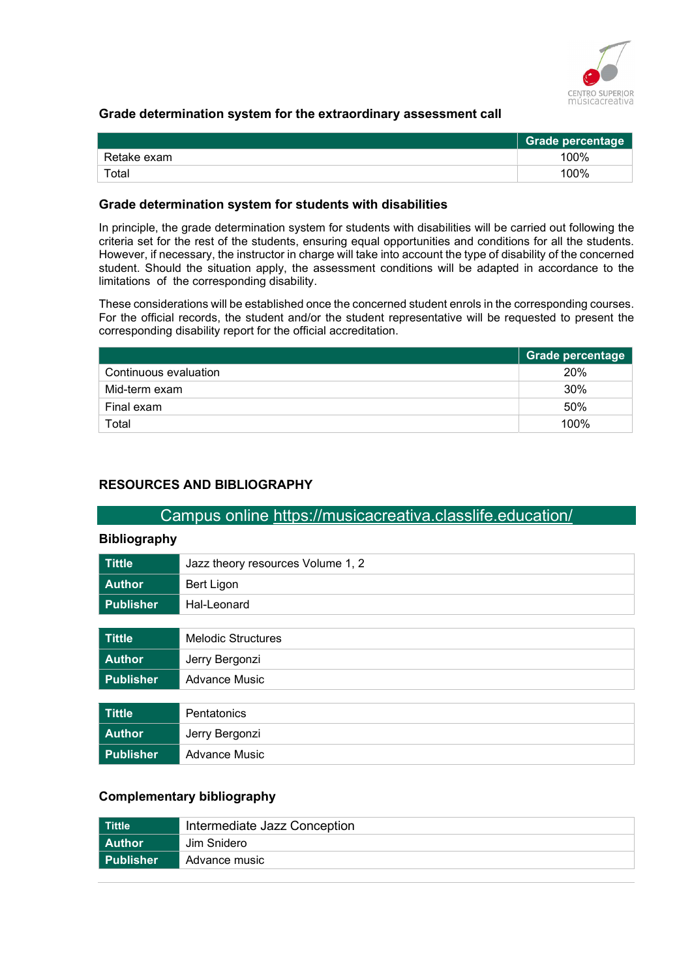

### Grade determination system for the extraordinary assessment call

|             | <b>Grade percentage</b> |
|-------------|-------------------------|
| Retake exam | 100%                    |
| Total       | 100%                    |

#### Grade determination system for students with disabilities

In principle, the grade determination system for students with disabilities will be carried out following the criteria set for the rest of the students, ensuring equal opportunities and conditions for all the students. However, if necessary, the instructor in charge will take into account the type of disability of the concerned student. Should the situation apply, the assessment conditions will be adapted in accordance to the limitations of the corresponding disability.

These considerations will be established once the concerned student enrols in the corresponding courses. For the official records, the student and/or the student representative will be requested to present the corresponding disability report for the official accreditation.

|                       | Grade percentage |
|-----------------------|------------------|
| Continuous evaluation | 20%              |
| Mid-term exam         | 30%              |
| Final exam            | 50%              |
| Total                 | 100%             |

### RESOURCES AND BIBLIOGRAPHY

### Campus online https://musicacreativa.classlife.education/

#### Bibliography

| <b>Tittle</b>    | Jazz theory resources Volume 1, 2 |
|------------------|-----------------------------------|
| <b>Author</b>    | Bert Ligon                        |
| <b>Publisher</b> | Hal-Leonard                       |
|                  |                                   |
| <b>Tittle</b>    | <b>Melodic Structures</b>         |
| <b>Author</b>    | Jerry Bergonzi                    |
| <b>Publisher</b> | <b>Advance Music</b>              |
|                  |                                   |
| <b>Tittle</b>    | Pentatonics                       |
| <b>Author</b>    | Jerry Bergonzi                    |
| <b>Publisher</b> | <b>Advance Music</b>              |

### Complementary bibliography

| <b>Tittle</b>    | Intermediate Jazz Conception |
|------------------|------------------------------|
| l Author         | Jim Snidero                  |
| <b>Publisher</b> | Advance music                |
|                  |                              |